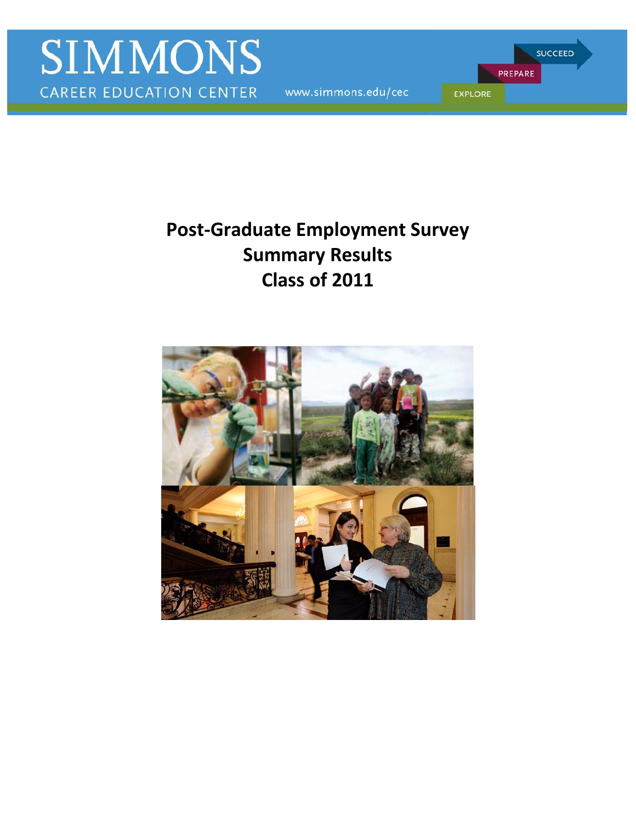www.simmons.edu/cec

PREPARE **EXPLORE** 

**SUCCEED** 

# **Summary Results Post-Graduate Employment Survey Class of 2011**

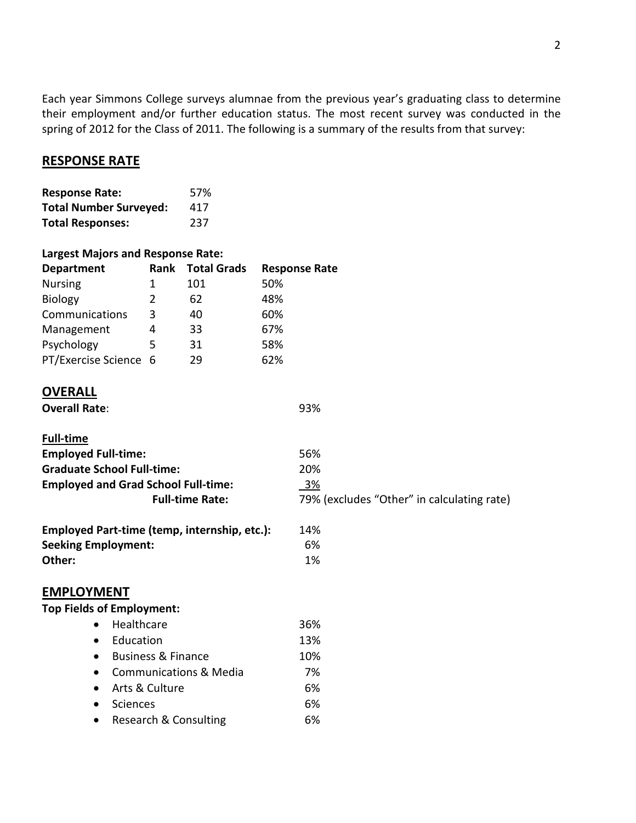spring of 2012 for the Class of 2011. The following is a summary of the results from that survey: Each year Simmons College surveys alumnae from the previous year's graduating class to determine their employment and/or further education status. The most recent survey was conducted in the

# **RESPONSE RATE**

| <b>Response Rate:</b>         | 57% |
|-------------------------------|-----|
| <b>Total Number Surveyed:</b> | 417 |
| <b>Total Responses:</b>       | 237 |

# **Largest Majors and Response Rate:**

| <b>Response Rate</b> |
|----------------------|
|                      |
|                      |
|                      |
|                      |
|                      |
|                      |
|                      |
|                      |

# **OVERALL**

| <b>Overall Rate:</b> |  |
|----------------------|--|
|----------------------|--|

| <b>Full-time</b>                             |                                            |
|----------------------------------------------|--------------------------------------------|
| <b>Employed Full-time:</b>                   | 56%                                        |
| <b>Graduate School Full-time:</b>            | 20%                                        |
| <b>Employed and Grad School Full-time:</b>   | 3%                                         |
| <b>Full-time Rate:</b>                       | 79% (excludes "Other" in calculating rate) |
| Employed Part-time (temp, internship, etc.): | 14%                                        |
| <b>Seeking Employment:</b>                   | 6%                                         |
| Other:                                       | 1%                                         |
| <b>EMPLOYMENT</b>                            |                                            |
| <b>Top Fields of Employment:</b>             |                                            |

93%

#### • Healthcare • Education • Business & Finance • Communications & Media • Arts & Culture • Sciences • Research & Consulting 36% 13% 10% 7% 6% 6% 6%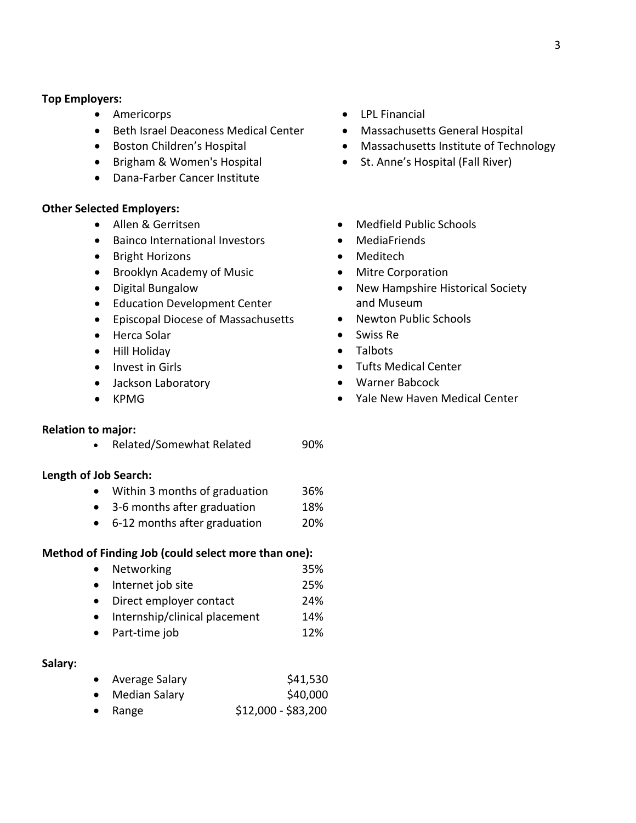#### **Top Employers:**

- Americorps
- Beth Israel Deaconess Medical Center
- Boston Children's Hospital
- Brigham & Women's Hospital
- Dana-Farber Cancer Institute

#### **Other Selected Employers:**

- Allen & Gerritsen
- Bainco International Investors
- Bright Horizons
- Brooklyn Academy of Music
- Digital Bungalow
- Education Development Center
- Episcopal Diocese of Massachusetts
- Herca Solar
- Hill Holiday
- Invest in Girls
- Jackson Laboratory
- KPMG

#### **Relation to major:**

• Related/Somewhat Related 90%

#### **Length of Job Search:**

- Within 3 months of graduation 36%
- 3-6 months after graduation 18%
- 6-12 months after graduation 20%

#### **Method of Finding Job (could select more than one):**

- Networking 35%
- Internet job site 25%
- Direct employer contact 24%
- Internship/clinical placement 14%
- Part-time job 12%

### **Salary:**

|  | Average Salary | \$41,530 |
|--|----------------|----------|
|--|----------------|----------|

- Median Salary \$40,000
- $\bullet$  Range  $$12,000 - $83,200$
- LPL Financial
- Massachusetts General Hospital
- Massachusetts Institute of Technology
- St. Anne's Hospital (Fall River)
- Medfield Public Schools
- MediaFriends
- Meditech
- Mitre Corporation
- New Hampshire Historical Society and Museum
- Newton Public Schools
- Swiss Re
- Talbots
- Tufts Medical Center
- Warner Babcock
- Yale New Haven Medical Center